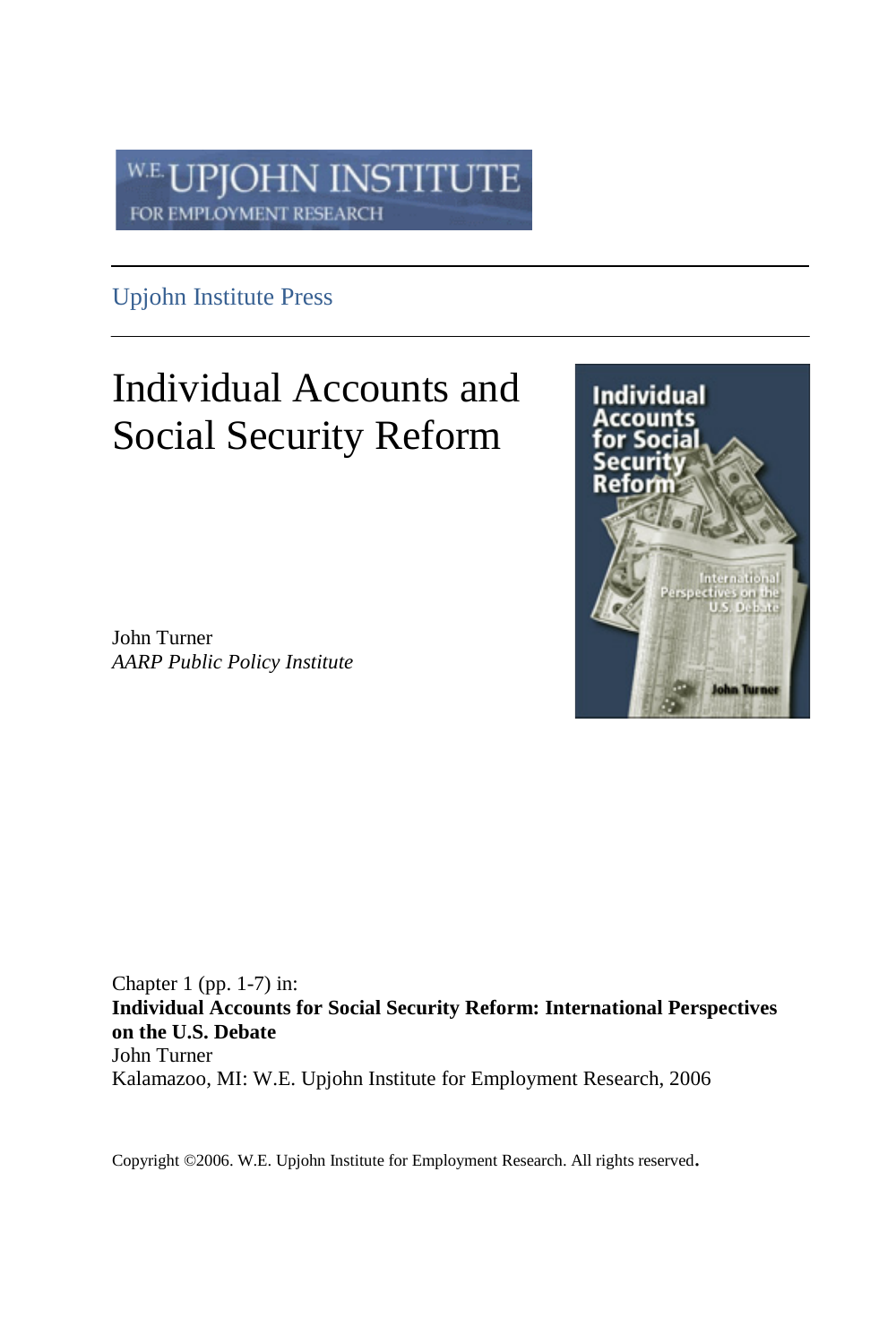#### **PJOHN INSTITUTE** W.E. FOR EMPLOYMENT RESEARCH

## Upjohn Institute Press

# Individual Accounts and Social Security Reform

John Turner *AARP Public Policy Institute*



Chapter 1 (pp. 1-7) in: **Individual Accounts for Social Security Reform: International Perspectives on the U.S. Debate** John Turner Kalamazoo, MI: W.E. Upjohn Institute for Employment Research, 2006

Copyright ©2006. W.E. Upjohn Institute for Employment Research. All rights reserved.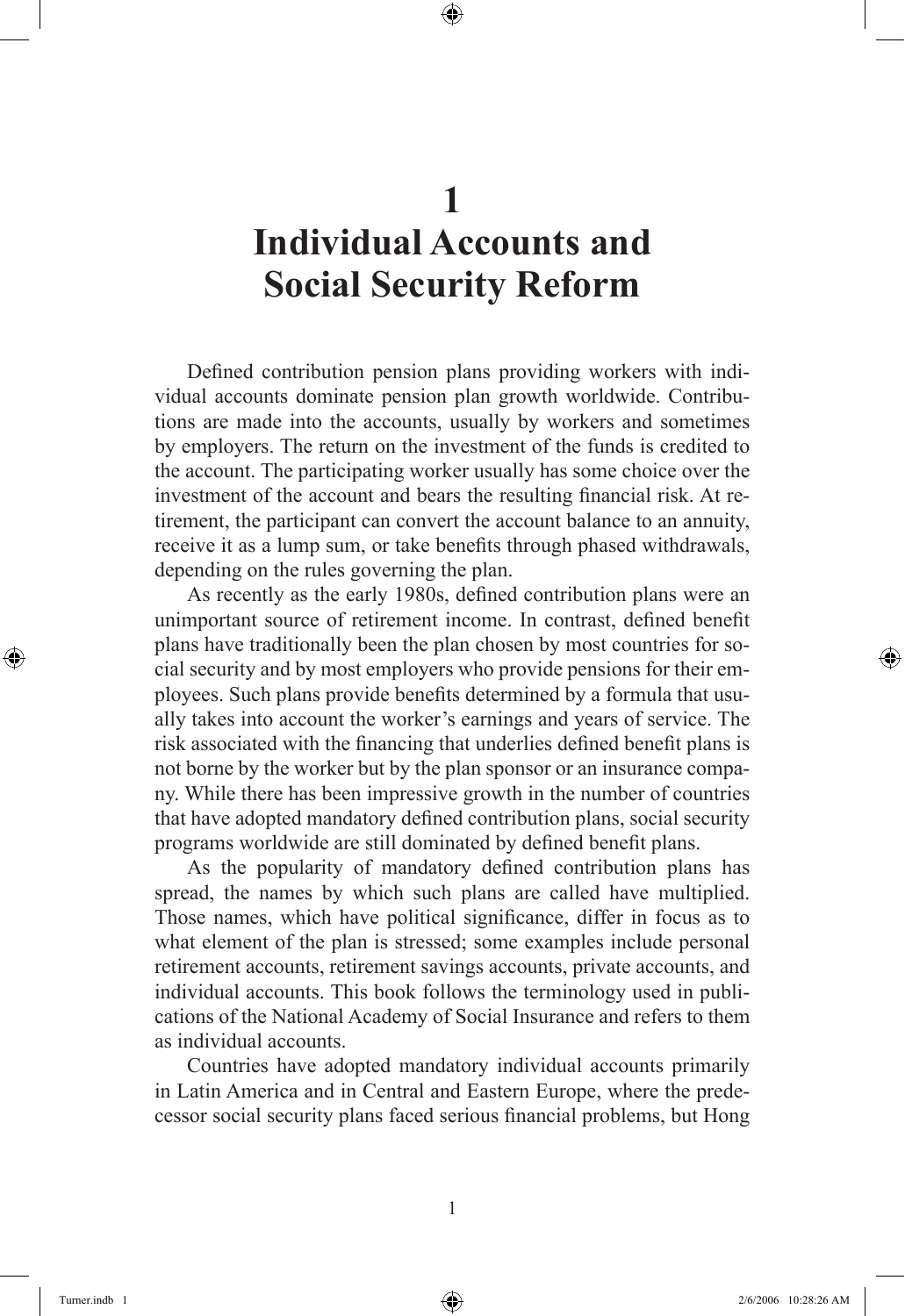## **1 Individual Accounts and Social Security Reform**

Defined contribution pension plans providing workers with individual accounts dominate pension plan growth worldwide. Contributions are made into the accounts, usually by workers and sometimes by employers. The return on the investment of the funds is credited to the account. The participating worker usually has some choice over the investment of the account and bears the resulting financial risk. At retirement, the participant can convert the account balance to an annuity, receive it as a lump sum, or take benefits through phased withdrawals, depending on the rules governing the plan.

As recently as the early 1980s, defined contribution plans were an unimportant source of retirement income. In contrast, defined benefit plans have traditionally been the plan chosen by most countries for social security and by most employers who provide pensions for their employees. Such plans provide benefits determined by a formula that usually takes into account the worker's earnings and years of service. The risk associated with the financing that underlies defined benefit plans is not borne by the worker but by the plan sponsor or an insurance company. While there has been impressive growth in the number of countries that have adopted mandatory defined contribution plans, social security programs worldwide are still dominated by defined benefit plans.

As the popularity of mandatory defined contribution plans has spread, the names by which such plans are called have multiplied. Those names, which have political significance, differ in focus as to what element of the plan is stressed; some examples include personal retirement accounts, retirement savings accounts, private accounts, and individual accounts. This book follows the terminology used in publications of the National Academy of Social Insurance and refers to them as individual accounts.

Countries have adopted mandatory individual accounts primarily in Latin America and in Central and Eastern Europe, where the predecessor social security plans faced serious financial problems, but Hong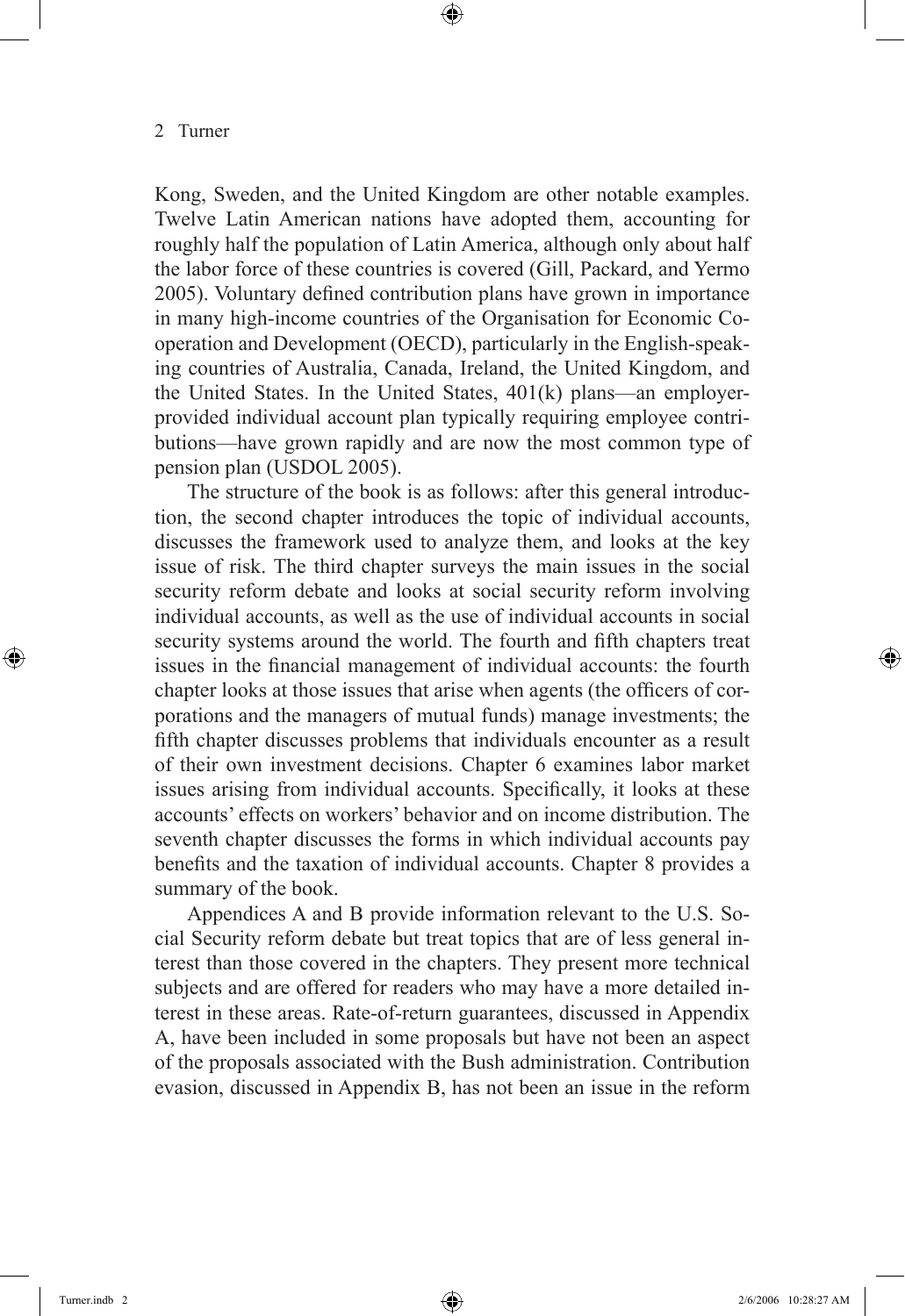Kong, Sweden, and the United Kingdom are other notable examples. Twelve Latin American nations have adopted them, accounting for roughly half the population of Latin America, although only about half the labor force of these countries is covered (Gill, Packard, and Yermo 2005). Voluntary defined contribution plans have grown in importance in many high-income countries of the Organisation for Economic Cooperation and Development (OECD), particularly in the English-speaking countries of Australia, Canada, Ireland, the United Kingdom, and the United States. In the United States, 401(k) plans—an employerprovided individual account plan typically requiring employee contributions—have grown rapidly and are now the most common type of pension plan (USDOL 2005).

The structure of the book is as follows: after this general introduction, the second chapter introduces the topic of individual accounts, discusses the framework used to analyze them, and looks at the key issue of risk. The third chapter surveys the main issues in the social security reform debate and looks at social security reform involving individual accounts, as well as the use of individual accounts in social security systems around the world. The fourth and fifth chapters treat issues in the financial management of individual accounts: the fourth chapter looks at those issues that arise when agents (the officers of corporations and the managers of mutual funds) manage investments; the fifth chapter discusses problems that individuals encounter as a result of their own investment decisions. Chapter 6 examines labor market issues arising from individual accounts. Specifically, it looks at these accounts' effects on workers' behavior and on income distribution. The seventh chapter discusses the forms in which individual accounts pay benefits and the taxation of individual accounts. Chapter 8 provides a summary of the book.

Appendices A and B provide information relevant to the U.S. Social Security reform debate but treat topics that are of less general interest than those covered in the chapters. They present more technical subjects and are offered for readers who may have a more detailed interest in these areas. Rate-of-return guarantees, discussed in Appendix A, have been included in some proposals but have not been an aspect of the proposals associated with the Bush administration. Contribution evasion, discussed in Appendix B, has not been an issue in the reform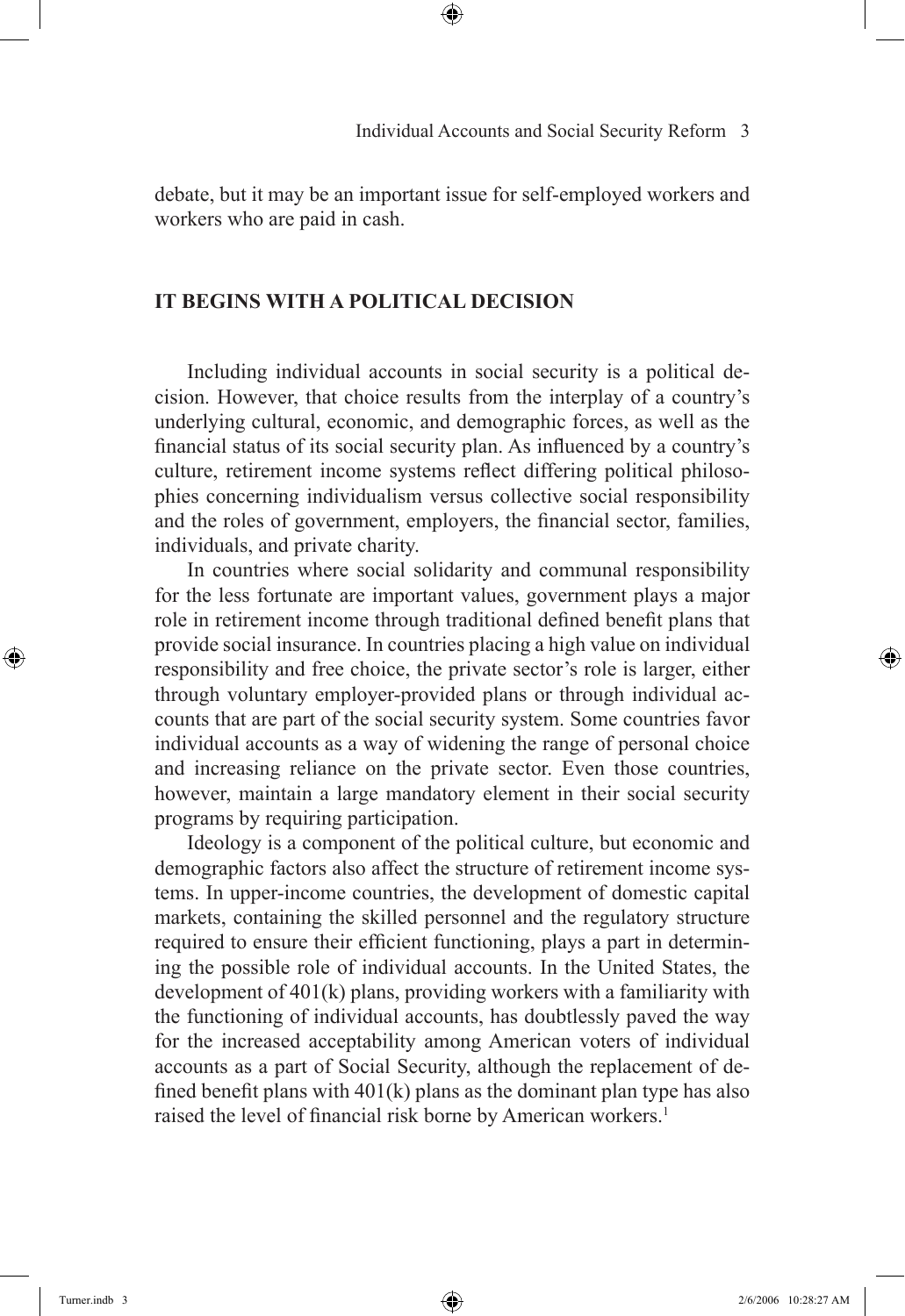debate, but it may be an important issue for self-employed workers and workers who are paid in cash.

### **It Begins with a Political Decision**

Including individual accounts in social security is a political decision. However, that choice results from the interplay of a country's underlying cultural, economic, and demographic forces, as well as the financial status of its social security plan. As influenced by a country's culture, retirement income systems reflect differing political philosophies concerning individualism versus collective social responsibility and the roles of government, employers, the financial sector, families, individuals, and private charity.

In countries where social solidarity and communal responsibility for the less fortunate are important values, government plays a major role in retirement income through traditional defined benefit plans that provide social insurance. In countries placing a high value on individual responsibility and free choice, the private sector's role is larger, either through voluntary employer-provided plans or through individual accounts that are part of the social security system. Some countries favor individual accounts as a way of widening the range of personal choice and increasing reliance on the private sector. Even those countries, however, maintain a large mandatory element in their social security programs by requiring participation.

Ideology is a component of the political culture, but economic and demographic factors also affect the structure of retirement income systems. In upper-income countries, the development of domestic capital markets, containing the skilled personnel and the regulatory structure required to ensure their efficient functioning, plays a part in determining the possible role of individual accounts. In the United States, the development of 401(k) plans, providing workers with a familiarity with the functioning of individual accounts, has doubtlessly paved the way for the increased acceptability among American voters of individual accounts as a part of Social Security, although the replacement of defined benefit plans with 401(k) plans as the dominant plan type has also raised the level of financial risk borne by American workers.<sup>1</sup>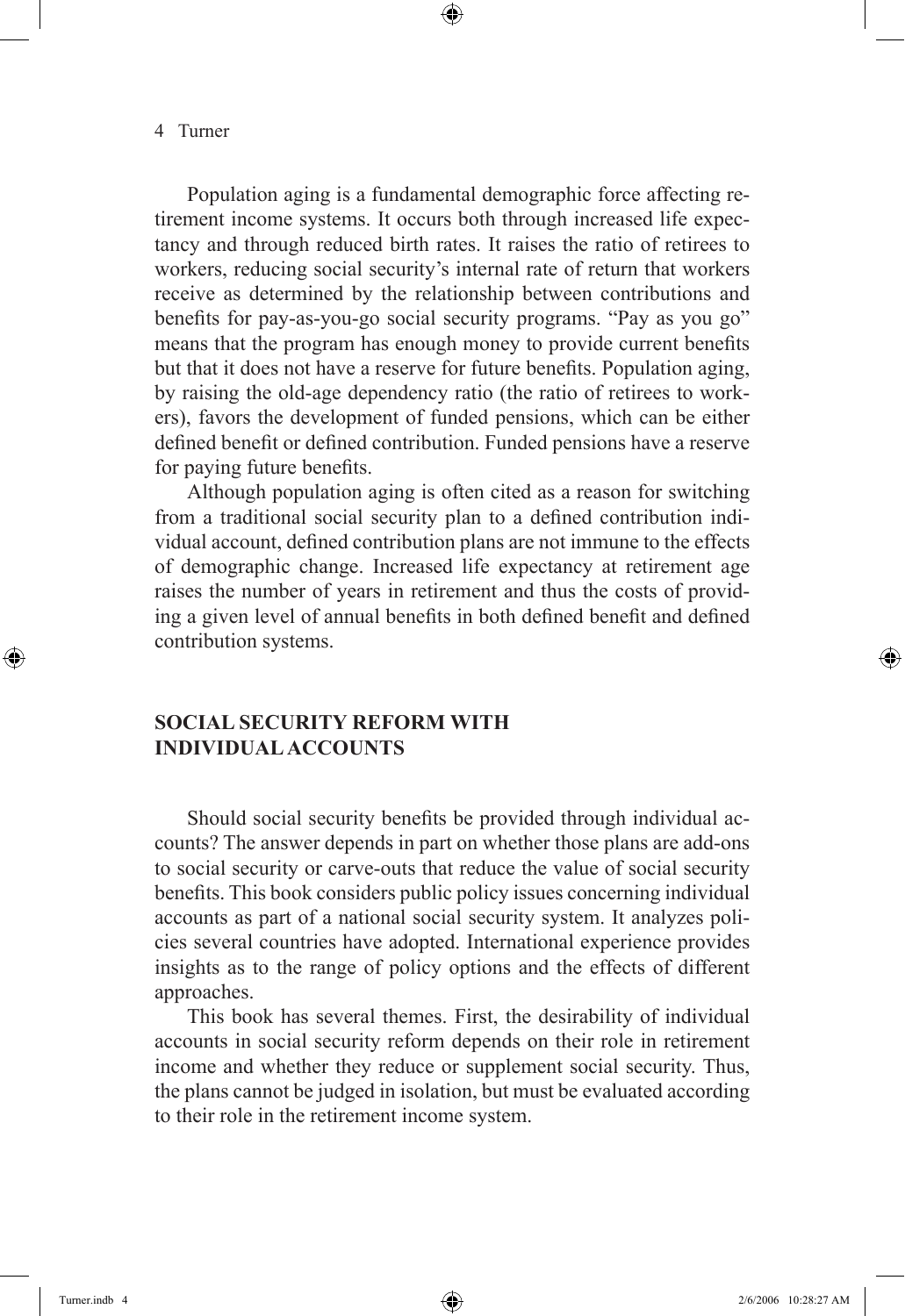#### 4 Turner

Population aging is a fundamental demographic force affecting retirement income systems. It occurs both through increased life expectancy and through reduced birth rates. It raises the ratio of retirees to workers, reducing social security's internal rate of return that workers receive as determined by the relationship between contributions and benefits for pay-as-you-go social security programs. "Pay as you go" means that the program has enough money to provide current benefits but that it does not have a reserve for future benefits. Population aging, by raising the old-age dependency ratio (the ratio of retirees to workers), favors the development of funded pensions, which can be either defined benefit or defined contribution. Funded pensions have a reserve for paying future benefits.

Although population aging is often cited as a reason for switching from a traditional social security plan to a defined contribution individual account, defined contribution plans are not immune to the effects of demographic change. Increased life expectancy at retirement age raises the number of years in retirement and thus the costs of providing a given level of annual benefits in both defined benefit and defined contribution systems.

### **Social Security Reform with Individual Accounts**

Should social security benefits be provided through individual accounts? The answer depends in part on whether those plans are add-ons to social security or carve-outs that reduce the value of social security benefits. This book considers public policy issues concerning individual accounts as part of a national social security system. It analyzes policies several countries have adopted. International experience provides insights as to the range of policy options and the effects of different approaches.

This book has several themes. First, the desirability of individual accounts in social security reform depends on their role in retirement income and whether they reduce or supplement social security. Thus, the plans cannot be judged in isolation, but must be evaluated according to their role in the retirement income system.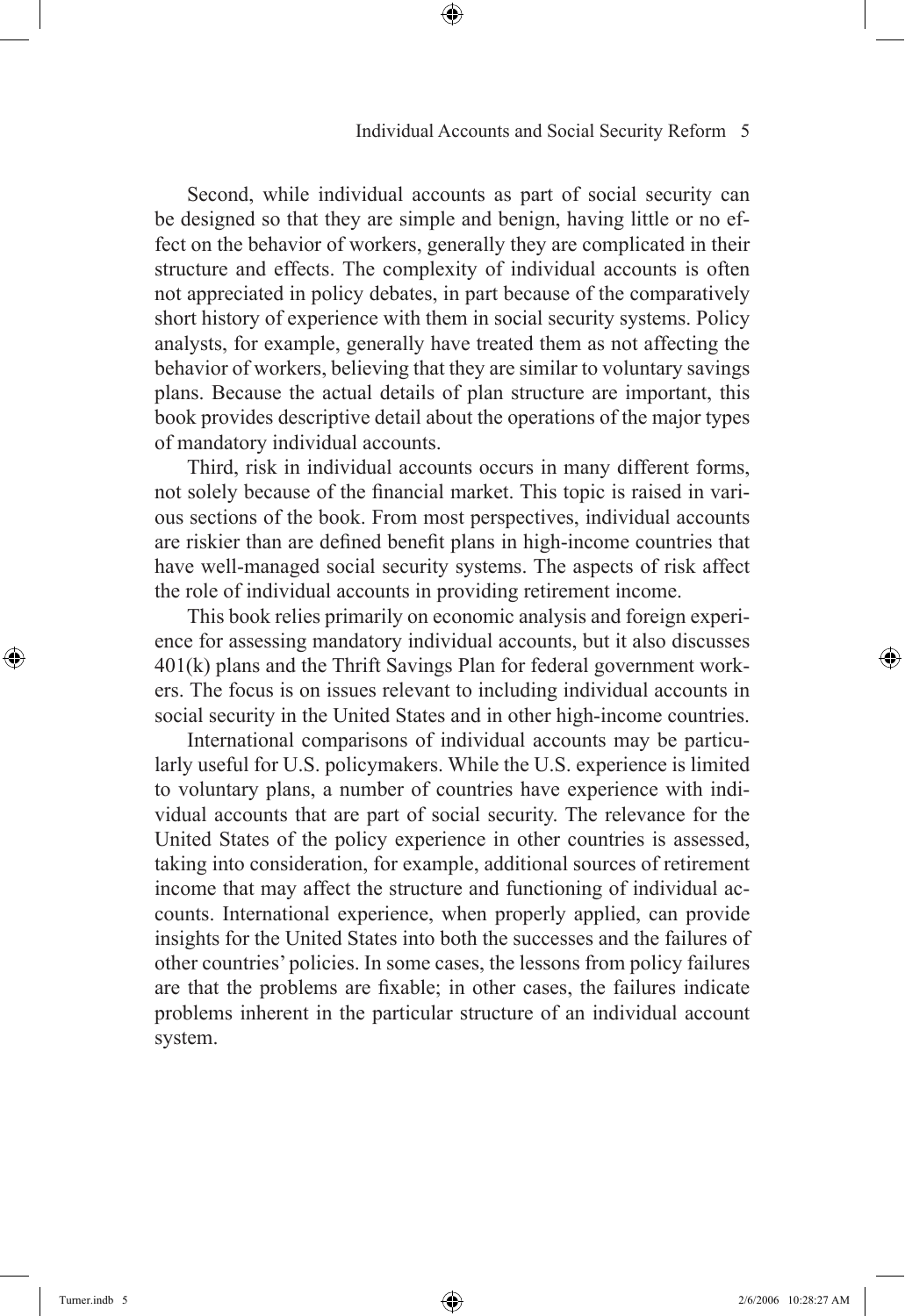Second, while individual accounts as part of social security can be designed so that they are simple and benign, having little or no effect on the behavior of workers, generally they are complicated in their structure and effects. The complexity of individual accounts is often not appreciated in policy debates, in part because of the comparatively short history of experience with them in social security systems. Policy analysts, for example, generally have treated them as not affecting the behavior of workers, believing that they are similar to voluntary savings plans. Because the actual details of plan structure are important, this book provides descriptive detail about the operations of the major types of mandatory individual accounts.

Third, risk in individual accounts occurs in many different forms, not solely because of the financial market. This topic is raised in various sections of the book. From most perspectives, individual accounts are riskier than are defined benefit plans in high-income countries that have well-managed social security systems. The aspects of risk affect the role of individual accounts in providing retirement income.

This book relies primarily on economic analysis and foreign experience for assessing mandatory individual accounts, but it also discusses 401(k) plans and the Thrift Savings Plan for federal government workers. The focus is on issues relevant to including individual accounts in social security in the United States and in other high-income countries.

International comparisons of individual accounts may be particularly useful for U.S. policymakers. While the U.S. experience is limited to voluntary plans, a number of countries have experience with individual accounts that are part of social security. The relevance for the United States of the policy experience in other countries is assessed, taking into consideration, for example, additional sources of retirement income that may affect the structure and functioning of individual accounts. International experience, when properly applied, can provide insights for the United States into both the successes and the failures of other countries' policies. In some cases, the lessons from policy failures are that the problems are fixable; in other cases, the failures indicate problems inherent in the particular structure of an individual account system.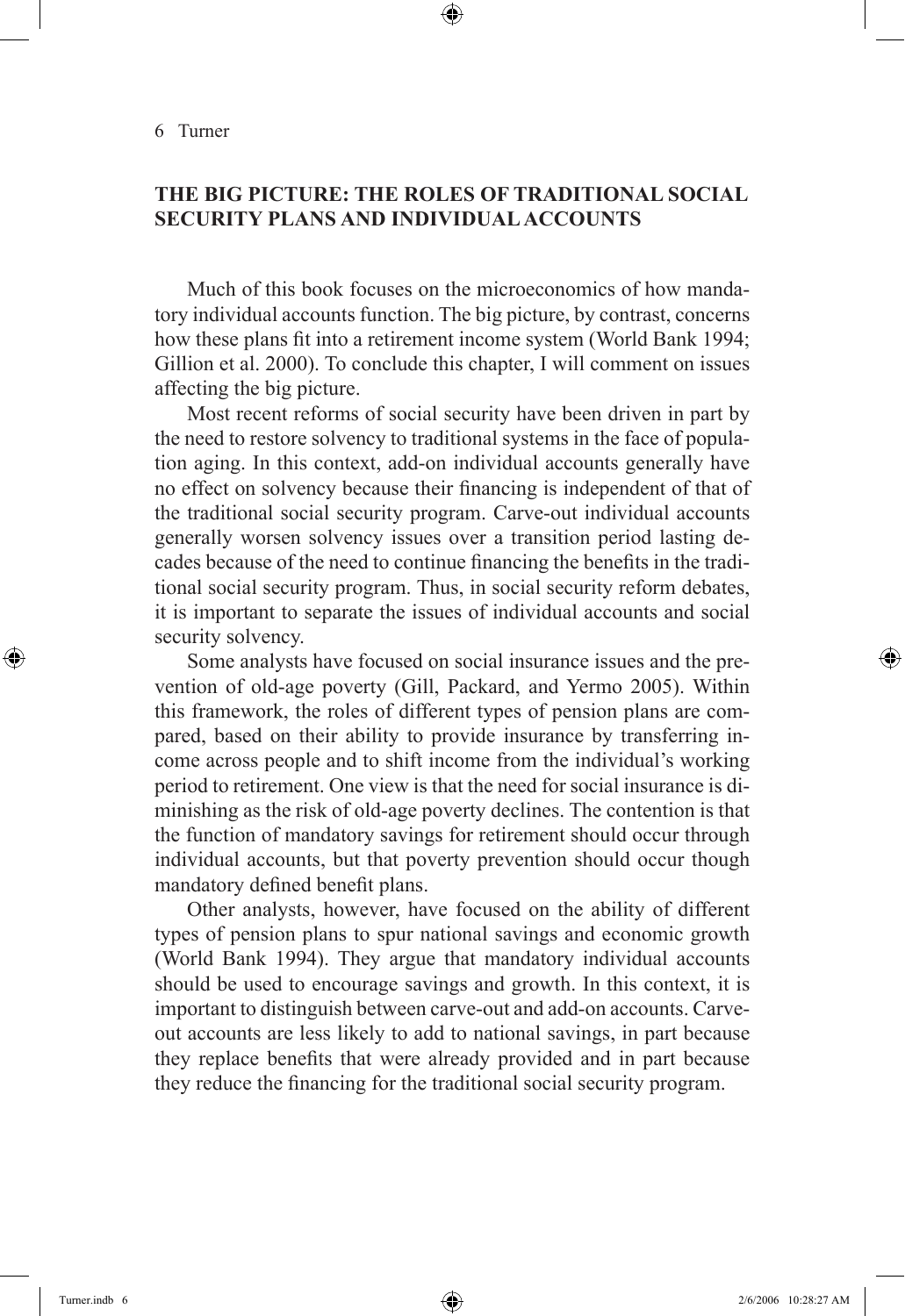## **THE BIG PICTURE: THE ROLES OF TRADITIONAL SOCIAL SECURITY PLANS AND INDIVIDUALACCOUNTS**

Much of this book focuses on the microeconomics of how mandatory individual accounts function. The big picture, by contrast, concerns how these plans fit into a retirement income system (World Bank 1994; Gillion et al. 2000). To conclude this chapter, I will comment on issues affecting the big picture.

Most recent reforms of social security have been driven in part by the need to restore solvency to traditional systems in the face of population aging. In this context, add-on individual accounts generally have no effect on solvency because their financing is independent of that of the traditional social security program. Carve-out individual accounts generally worsen solvency issues over a transition period lasting decades because of the need to continue financing the benefits in the traditional social security program. Thus, in social security reform debates, it is important to separate the issues of individual accounts and social security solvency.

Some analysts have focused on social insurance issues and the prevention of old-age poverty (Gill, Packard, and Yermo 2005). Within this framework, the roles of different types of pension plans are compared, based on their ability to provide insurance by transferring income across people and to shift income from the individual's working period to retirement. One view is that the need for social insurance is diminishing as the risk of old-age poverty declines. The contention is that the function of mandatory savings for retirement should occur through individual accounts, but that poverty prevention should occur though mandatory defined benefit plans.

Other analysts, however, have focused on the ability of different types of pension plans to spur national savings and economic growth (World Bank 1994). They argue that mandatory individual accounts should be used to encourage savings and growth. In this context, it is important to distinguish between carve-out and add-on accounts. Carveout accounts are less likely to add to national savings, in part because they replace benefits that were already provided and in part because they reduce the financing for the traditional social security program.